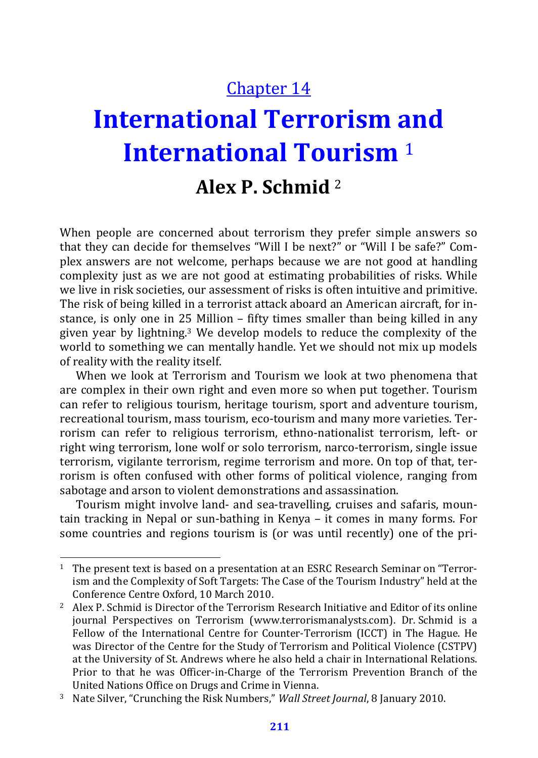## Chapter 14

# **International Terrorism and International Tourism** <sup>1</sup>

## **Alex P. Schmid** <sup>2</sup>

When people are concerned about terrorism they prefer simple answers so that they can decide for themselves "Will I be next?" or "Will I be safe?" Complex answers are not welcome, perhaps because we are not good at handling complexity just as we are not good at estimating probabilities of risks. While we live in risk societies, our assessment of risks is often intuitive and primitive. The risk of being killed in a terrorist attack aboard an American aircraft, for instance, is only one in 25 Million – fifty times smaller than being killed in any given year by lightning.3 We develop models to reduce the complexity of the world to something we can mentally handle. Yet we should not mix up models of reality with the reality itself.

When we look at Terrorism and Tourism we look at two phenomena that are complex in their own right and even more so when put together. Tourism can refer to religious tourism, heritage tourism, sport and adventure tourism, recreational tourism, mass tourism, eco-tourism and many more varieties. Terrorism can refer to religious terrorism, ethno-nationalist terrorism, left- or right wing terrorism, lone wolf or solo terrorism, narco-terrorism, single issue terrorism, vigilante terrorism, regime terrorism and more. On top of that, terrorism is often confused with other forms of political violence, ranging from sabotage and arson to violent demonstrations and assassination.

Tourism might involve land- and sea-travelling, cruises and safaris, mountain tracking in Nepal or sun-bathing in Kenya – it comes in many forms. For some countries and regions tourism is (or was until recently) one of the pri-

<sup>&</sup>lt;sup>1</sup> The present text is based on a presentation at an ESRC Research Seminar on "Terrorism and the Complexity of Soft Targets: The Case of the Tourism Industry" held at the Conference Centre Oxford, 10 March 2010. 2 Alex P. Schmid is Director of the Terrorism Research Initiative and Editor of its online

journal Perspectives on Terrorism (www.terrorismanalysts.com). Dr. Schmid is a Fellow of the International Centre for Counter-Terrorism (ICCT) in The Hague. He was Director of the Centre for the Study of Terrorism and Political Violence (CSTPV) at the University of St. Andrews where he also held a chair in International Relations. Prior to that he was Officer-in-Charge of the Terrorism Prevention Branch of the United Nations Office on Drugs and Crime in Vienna. 3 Nate Silver, "Crunching the Risk Numbers," *Wall Street Journal*, 8 January 2010.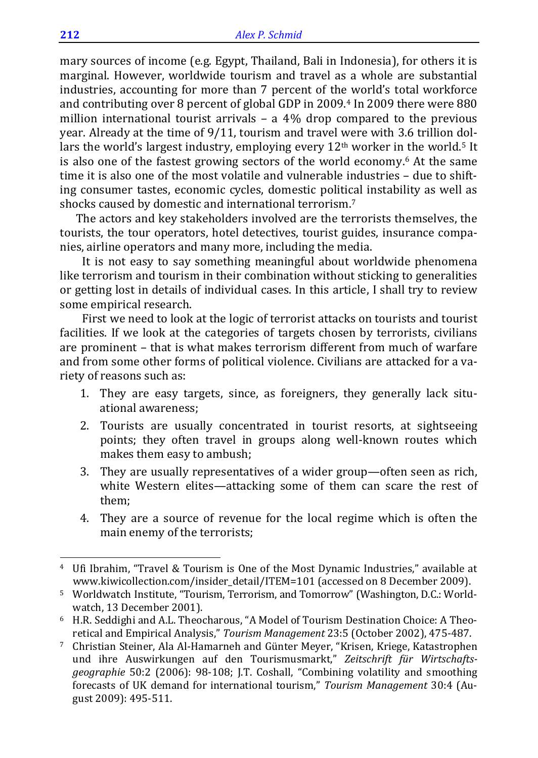mary sources of income (e.g. Egypt, Thailand, Bali in Indonesia), for others it is marginal. However, worldwide tourism and travel as a whole are substantial industries, accounting for more than 7 percent of the world's total workforce and contributing over 8 percent of global GDP in 2009.<sup>4</sup> In 2009 there were 880 million international tourist arrivals – a 4% drop compared to the previous year. Already at the time of 9/11, tourism and travel were with 3.6 trillion dollars the world's largest industry, employing every 12<sup>th</sup> worker in the world.<sup>5</sup> It is also one of the fastest growing sectors of the world economy. 6 At the same time it is also one of the most volatile and vulnerable industries – due to shifting consumer tastes, economic cycles, domestic political instability as well as shocks caused by domestic and international terrorism.7

The actors and key stakeholders involved are the terrorists themselves, the tourists, the tour operators, hotel detectives, tourist guides, insurance companies, airline operators and many more, including the media.

It is not easy to say something meaningful about worldwide phenomena like terrorism and tourism in their combination without sticking to generalities or getting lost in details of individual cases. In this article, I shall try to review some empirical research.

First we need to look at the logic of terrorist attacks on tourists and tourist facilities. If we look at the categories of targets chosen by terrorists, civilians are prominent – that is what makes terrorism different from much of warfare and from some other forms of political violence. Civilians are attacked for a variety of reasons such as:

- 1. They are easy targets, since, as foreigners, they generally lack situational awareness;
- 2. Tourists are usually concentrated in tourist resorts, at sightseeing points; they often travel in groups along well-known routes which makes them easy to ambush;
- 3. They are usually representatives of a wider group—often seen as rich, white Western elites—attacking some of them can scare the rest of them;
- 4. They are a source of revenue for the local regime which is often the main enemy of the terrorists;

<sup>4</sup> Ufi Ibrahim, "Travel & Tourism is One of the Most Dynamic Industries," available at www.kiwicollection.com/insider\_detail/ITEM=101 (accessed on 8 December 2009).

<sup>5</sup> Worldwatch Institute, "Tourism, Terrorism, and Tomorrow" (Washington, D.C.: Worldwatch, 13 December 2001). watch, 13 December 2001).<br>6 H.R. Seddighi and A.L. Theocharous, "A Model of Tourism Destination Choice: A Theo-

retical and Empirical Analysis," *Tourism Management* 23:5 (October 2002), 475-487. 7 Christian Steiner, Ala Al-Hamarneh and Günter Meyer, "Krisen, Kriege, Katastrophen

und ihre Auswirkungen auf den Tourismusmarkt," *Zeitschrift für Wirtschaftsgeographie* 50:2 (2006): 98-108; J.T. Coshall, "Combining volatility and smoothing forecasts of UK demand for international tourism," *Tourism Management* 30:4 (August 2009): 495-511.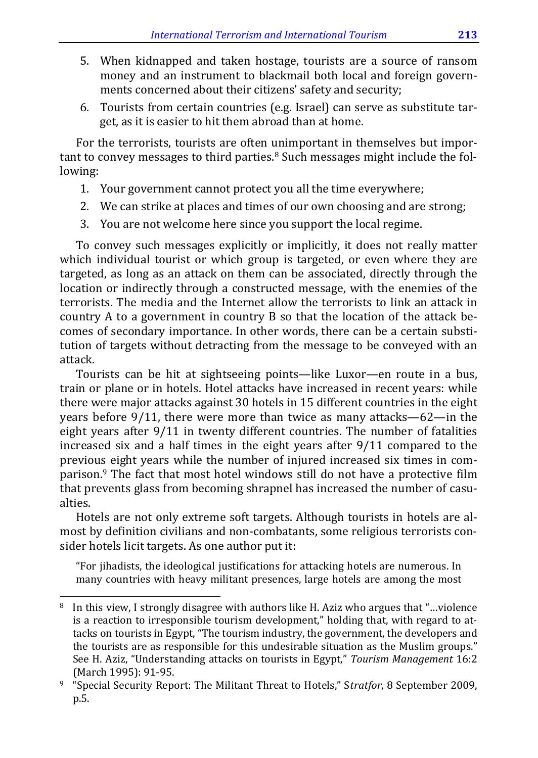- 5. When kidnapped and taken hostage, tourists are a source of ransom money and an instrument to blackmail both local and foreign governments concerned about their citizens' safety and security;
- 6. Tourists from certain countries (e.g. Israel) can serve as substitute target, as it is easier to hit them abroad than at home.

For the terrorists, tourists are often unimportant in themselves but important to convey messages to third parties.<sup>8</sup> Such messages might include the following:

- 1. Your government cannot protect you all the time everywhere;
- 2. We can strike at places and times of our own choosing and are strong;
- 3. You are not welcome here since you support the local regime.

To convey such messages explicitly or implicitly, it does not really matter which individual tourist or which group is targeted, or even where they are targeted, as long as an attack on them can be associated, directly through the location or indirectly through a constructed message, with the enemies of the terrorists. The media and the Internet allow the terrorists to link an attack in country A to a government in country B so that the location of the attack becomes of secondary importance. In other words, there can be a certain substitution of targets without detracting from the message to be conveyed with an attack.

Tourists can be hit at sightseeing points—like Luxor—en route in a bus, train or plane or in hotels. Hotel attacks have increased in recent years: while there were major attacks against 30 hotels in 15 different countries in the eight years before 9/11, there were more than twice as many attacks—62—in the eight years after 9/11 in twenty different countries. The number of fatalities increased six and a half times in the eight years after 9/11 compared to the previous eight years while the number of injured increased six times in comparison.9 The fact that most hotel windows still do not have a protective film that prevents glass from becoming shrapnel has increased the number of casualties.

Hotels are not only extreme soft targets. Although tourists in hotels are almost by definition civilians and non-combatants, some religious terrorists consider hotels licit targets. As one author put it:

"For jihadists, the ideological justifications for attacking hotels are numerous. In many countries with heavy militant presences, large hotels are among the most

<sup>8</sup> In this view, I strongly disagree with authors like H. Aziz who argues that "…violence is a reaction to irresponsible tourism development," holding that, with regard to attacks on tourists in Egypt, "The tourism industry, the government, the developers and the tourists are as responsible for this undesirable situation as the Muslim groups." See H. Aziz, "Understanding attacks on tourists in Egypt," *Tourism Management* 16:2 (March 1995): 91-95. 9 "Special Security Report: The Militant Threat to Hotels," S*tratfor*, 8 September 2009,

p.5.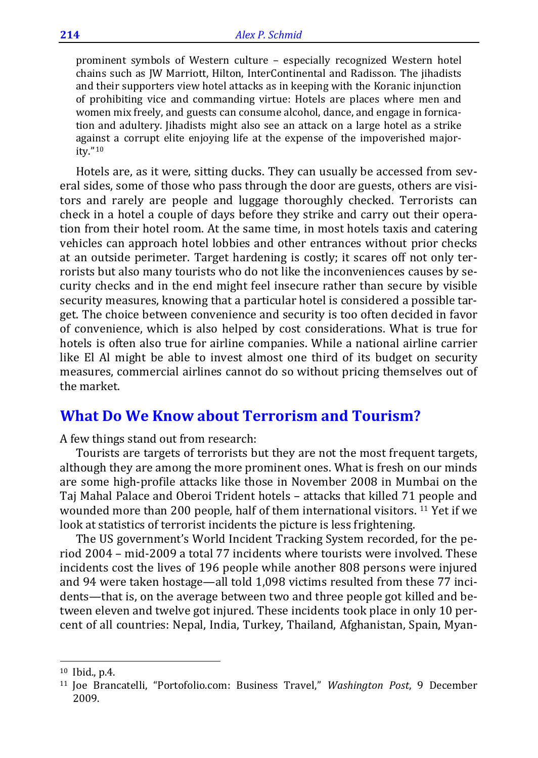prominent symbols of Western culture – especially recognized Western hotel chains such as JW Marriott, Hilton, InterContinental and Radisson. The jihadists and their supporters view hotel attacks as in keeping with the Koranic injunction of prohibiting vice and commanding virtue: Hotels are places where men and women mix freely, and guests can consume alcohol, dance, and engage in fornication and adultery. Jihadists might also see an attack on a large hotel as a strike against a corrupt elite enjoying life at the expense of the impoverished majority."10

Hotels are, as it were, sitting ducks. They can usually be accessed from several sides, some of those who pass through the door are guests, others are visitors and rarely are people and luggage thoroughly checked. Terrorists can check in a hotel a couple of days before they strike and carry out their operation from their hotel room. At the same time, in most hotels taxis and catering vehicles can approach hotel lobbies and other entrances without prior checks at an outside perimeter. Target hardening is costly; it scares off not only terrorists but also many tourists who do not like the inconveniences causes by security checks and in the end might feel insecure rather than secure by visible security measures, knowing that a particular hotel is considered a possible target. The choice between convenience and security is too often decided in favor of convenience, which is also helped by cost considerations. What is true for hotels is often also true for airline companies. While a national airline carrier like El Al might be able to invest almost one third of its budget on security measures, commercial airlines cannot do so without pricing themselves out of the market.

#### **What Do We Know about Terrorism and Tourism?**

A few things stand out from research:

Tourists are targets of terrorists but they are not the most frequent targets, although they are among the more prominent ones. What is fresh on our minds are some high-profile attacks like those in November 2008 in Mumbai on the Taj Mahal Palace and Oberoi Trident hotels – attacks that killed 71 people and wounded more than 200 people, half of them international visitors. 11 Yet if we look at statistics of terrorist incidents the picture is less frightening.

The US government's World Incident Tracking System recorded, for the period 2004 – mid-2009 a total 77 incidents where tourists were involved. These incidents cost the lives of 196 people while another 808 persons were injured and 94 were taken hostage—all told 1,098 victims resulted from these 77 incidents—that is, on the average between two and three people got killed and between eleven and twelve got injured. These incidents took place in only 10 percent of all countries: Nepal, India, Turkey, Thailand, Afghanistan, Spain, Myan-

l

<sup>10</sup> Ibid., p.4.

<sup>11</sup> Joe Brancatelli, "Portofolio.com: Business Travel," *Washington Post*, 9 December 2009.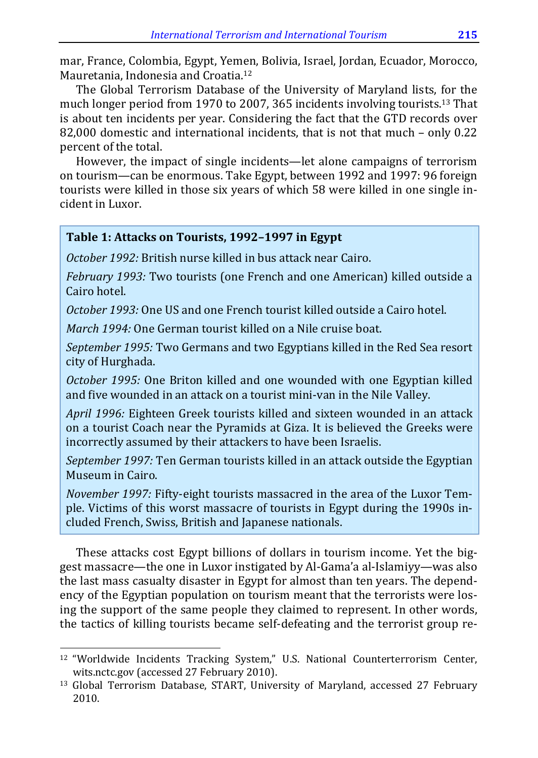mar, France, Colombia, Egypt, Yemen, Bolivia, Israel, Jordan, Ecuador, Morocco, Mauretania, Indonesia and Croatia.12

The Global Terrorism Database of the University of Maryland lists, for the much longer period from 1970 to 2007, 365 incidents involving tourists.13 That is about ten incidents per year. Considering the fact that the GTD records over 82,000 domestic and international incidents, that is not that much – only 0.22 percent of the total.

However, the impact of single incidents—let alone campaigns of terrorism on tourism—can be enormous. Take Egypt, between 1992 and 1997: 96 foreign tourists were killed in those six years of which 58 were killed in one single incident in Luxor.

#### **Table 1: Attacks on Tourists, 1992–1997 in Egypt**

*October 1992:* British nurse killed in bus attack near Cairo.

*February 1993:* Two tourists (one French and one American) killed outside a Cairo hotel.

*October 1993:* One US and one French tourist killed outside a Cairo hotel.

*March 1994:* One German tourist killed on a Nile cruise boat.

*September 1995:* Two Germans and two Egyptians killed in the Red Sea resort city of Hurghada.

*October 1995:* One Briton killed and one wounded with one Egyptian killed and five wounded in an attack on a tourist mini-van in the Nile Valley.

*April 1996:* Eighteen Greek tourists killed and sixteen wounded in an attack on a tourist Coach near the Pyramids at Giza. It is believed the Greeks were incorrectly assumed by their attackers to have been Israelis.

*September 1997:* Ten German tourists killed in an attack outside the Egyptian Museum in Cairo.

*November 1997:* Fifty-eight tourists massacred in the area of the Luxor Temple. Victims of this worst massacre of tourists in Egypt during the 1990s included French, Swiss, British and Japanese nationals.

These attacks cost Egypt billions of dollars in tourism income. Yet the biggest massacre—the one in Luxor instigated by Al-Gama'a al-Islamiyy—was also the last mass casualty disaster in Egypt for almost than ten years. The dependency of the Egyptian population on tourism meant that the terrorists were losing the support of the same people they claimed to represent. In other words, the tactics of killing tourists became self-defeating and the terrorist group re-

<sup>12 &</sup>quot;Worldwide Incidents Tracking System," U.S. National Counterterrorism Center, wits.nctc.gov (accessed 27 February 2010). 13 Global Terrorism Database, START, University of Maryland, accessed 27 February

<sup>2010.</sup>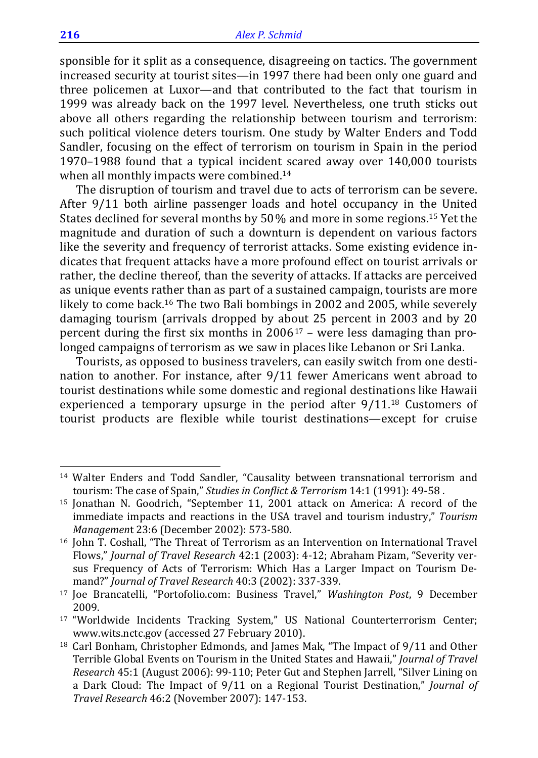sponsible for it split as a consequence, disagreeing on tactics. The government increased security at tourist sites—in 1997 there had been only one guard and three policemen at Luxor—and that contributed to the fact that tourism in 1999 was already back on the 1997 level. Nevertheless, one truth sticks out above all others regarding the relationship between tourism and terrorism: such political violence deters tourism. One study by Walter Enders and Todd Sandler, focusing on the effect of terrorism on tourism in Spain in the period 1970–1988 found that a typical incident scared away over 140,000 tourists when all monthly impacts were combined.<sup>14</sup>

The disruption of tourism and travel due to acts of terrorism can be severe. After 9/11 both airline passenger loads and hotel occupancy in the United States declined for several months by 50% and more in some regions.15 Yet the magnitude and duration of such a downturn is dependent on various factors like the severity and frequency of terrorist attacks. Some existing evidence indicates that frequent attacks have a more profound effect on tourist arrivals or rather, the decline thereof, than the severity of attacks. If attacks are perceived as unique events rather than as part of a sustained campaign, tourists are more likely to come back.16 The two Bali bombings in 2002 and 2005, while severely damaging tourism (arrivals dropped by about 25 percent in 2003 and by 20 percent during the first six months in  $2006^{17}$  – were less damaging than prolonged campaigns of terrorism as we saw in places like Lebanon or Sri Lanka.

Tourists, as opposed to business travelers, can easily switch from one destination to another. For instance, after 9/11 fewer Americans went abroad to tourist destinations while some domestic and regional destinations like Hawaii experienced a temporary upsurge in the period after 9/11.18 Customers of tourist products are flexible while tourist destinations—except for cruise

l

<sup>14</sup> Walter Enders and Todd Sandler, "Causality between transnational terrorism and tourism: The case of Spain," *Studies in Conflict & Terrorism* 14:1 (1991): 49-58 .

<sup>15</sup> Jonathan N. Goodrich, "September 11, 2001 attack on America: A record of the immediate impacts and reactions in the USA travel and tourism industry," *Tourism Management* 23:6 (December 2002): 573-580.<br><sup>16</sup> John T. Coshall, "The Threat of Terrorism as an Intervention on International Travel

Flows," *Journal of Travel Research* 42:1 (2003): 4-12; Abraham Pizam, "Severity versus Frequency of Acts of Terrorism: Which Has a Larger Impact on Tourism Demand?" *Journal of Travel Research* 40:3 (2002): 337-339. 17 Joe Brancatelli, "Portofolio.com: Business Travel," *Washington Post*, 9 December

<sup>2009. 17 &</sup>quot;Worldwide Incidents Tracking System," US National Counterterrorism Center;

www.wits.nctc.gov (accessed 27 February 2010). 18 Carl Bonham, Christopher Edmonds, and James Mak, "The Impact of 9/11 and Other

Terrible Global Events on Tourism in the United States and Hawaii," *Journal of Travel Research* 45:1 (August 2006): 99-110; Peter Gut and Stephen Jarrell, "Silver Lining on a Dark Cloud: The Impact of 9/11 on a Regional Tourist Destination," *Journal of Travel Research* 46:2 (November 2007): 147-153.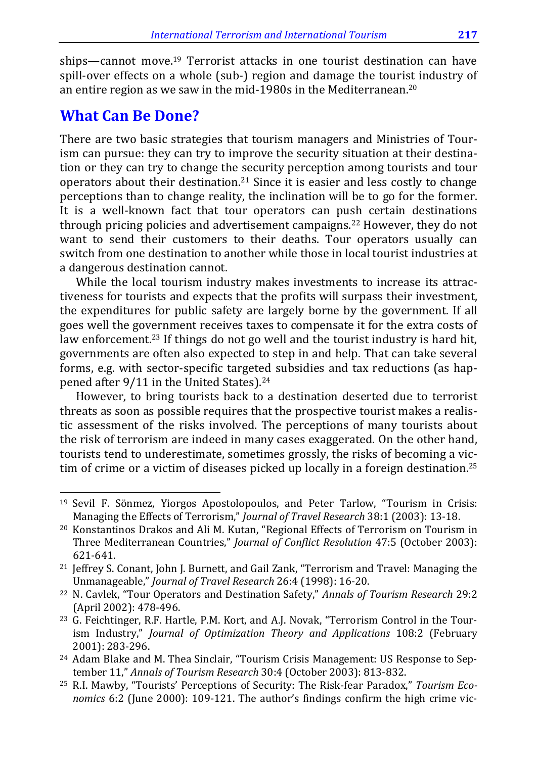ships—cannot move.19 Terrorist attacks in one tourist destination can have spill-over effects on a whole (sub-) region and damage the tourist industry of an entire region as we saw in the mid-1980s in the Mediterranean.20

### **What Can Be Done?**

l

There are two basic strategies that tourism managers and Ministries of Tourism can pursue: they can try to improve the security situation at their destination or they can try to change the security perception among tourists and tour operators about their destination.<sup>21</sup> Since it is easier and less costly to change perceptions than to change reality, the inclination will be to go for the former. It is a well-known fact that tour operators can push certain destinations through pricing policies and advertisement campaigns.<sup>22</sup> However, they do not want to send their customers to their deaths. Tour operators usually can switch from one destination to another while those in local tourist industries at a dangerous destination cannot.

While the local tourism industry makes investments to increase its attractiveness for tourists and expects that the profits will surpass their investment, the expenditures for public safety are largely borne by the government. If all goes well the government receives taxes to compensate it for the extra costs of law enforcement.<sup>23</sup> If things do not go well and the tourist industry is hard hit, governments are often also expected to step in and help. That can take several forms, e.g. with sector-specific targeted subsidies and tax reductions (as happened after 9/11 in the United States).<sup>24</sup>

However, to bring tourists back to a destination deserted due to terrorist threats as soon as possible requires that the prospective tourist makes a realistic assessment of the risks involved. The perceptions of many tourists about the risk of terrorism are indeed in many cases exaggerated. On the other hand, tourists tend to underestimate, sometimes grossly, the risks of becoming a victim of crime or a victim of diseases picked up locally in a foreign destination.<sup>25</sup>

<sup>19</sup> Sevil F. Sönmez, Yiorgos Apostolopoulos, and Peter Tarlow, "Tourism in Crisis: Managing the Effects of Terrorism," *Journal of Travel Research* 38:1 (2003): 13-18. 20 Konstantinos Drakos and Ali M. Kutan, "Regional Effects of Terrorism on Tourism in

Three Mediterranean Countries," *Journal of Conflict Resolution* 47:5 (October 2003): 621-641. 21 Jeffrey S. Conant, John J. Burnett, and Gail Zank, "Terrorism and Travel: Managing the

Unmanageable," *Journal of Travel Research* 26:4 (1998): 16-20. 22 N. Cavlek, "Tour Operators and Destination Safety," *Annals of Tourism Research* 29:2

<sup>(</sup>April 2002): 478-496.<br><sup>23</sup> G. Feichtinger, R.F. Hartle, P.M. Kort, and A.J. Novak, "Terrorism Control in the Tour-

ism Industry," *Journal of Optimization Theory and Applications* 108:2 (February 2001): 283-296. 2001): 283-296. 24 Adam Blake and M. Thea Sinclair, "Tourism Crisis Management: US Response to Sep-

tember 11," *Annals of Tourism Research* 30:4 (October 2003): 813-832.

<sup>25</sup> R.I. Mawby, "Tourists' Perceptions of Security: The Risk-fear Paradox," *Tourism Economics* 6:2 (June 2000): 109-121. The author's findings confirm the high crime vic-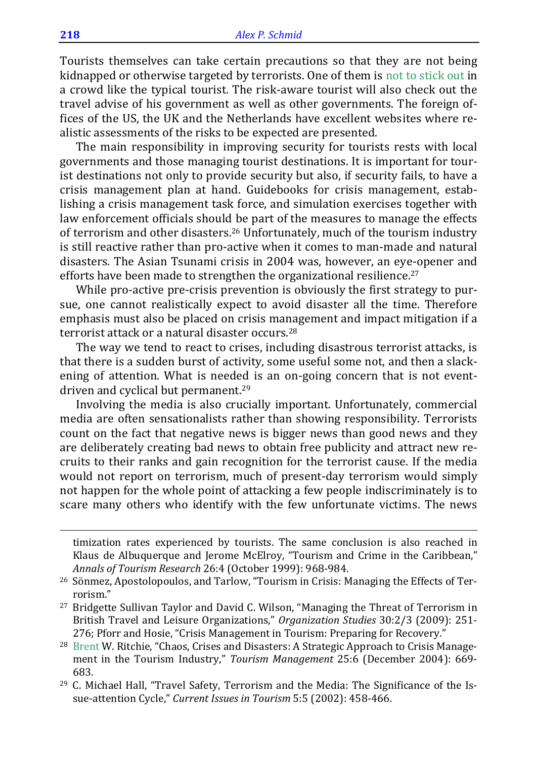Tourists themselves can take certain precautions so that they are not being kidnapped or otherwise targeted by terrorists. One of them is not to stick out in a crowd like the typical tourist. The risk-aware tourist will also check out the travel advise of his government as well as other governments. The foreign offices of the US, the UK and the Netherlands have excellent websites where realistic assessments of the risks to be expected are presented.

The main responsibility in improving security for tourists rests with local governments and those managing tourist destinations. It is important for tourist destinations not only to provide security but also, if security fails, to have a crisis management plan at hand. Guidebooks for crisis management, establishing a crisis management task force, and simulation exercises together with law enforcement officials should be part of the measures to manage the effects of terrorism and other disasters.26 Unfortunately, much of the tourism industry is still reactive rather than pro-active when it comes to man-made and natural disasters. The Asian Tsunami crisis in 2004 was, however, an eye-opener and efforts have been made to strengthen the organizational resilience.<sup>27</sup>

While pro-active pre-crisis prevention is obviously the first strategy to pursue, one cannot realistically expect to avoid disaster all the time. Therefore emphasis must also be placed on crisis management and impact mitigation if a terrorist attack or a natural disaster occurs.28

The way we tend to react to crises, including disastrous terrorist attacks, is that there is a sudden burst of activity, some useful some not, and then a slackening of attention. What is needed is an on-going concern that is not eventdriven and cyclical but permanent.29

Involving the media is also crucially important. Unfortunately, commercial media are often sensationalists rather than showing responsibility. Terrorists count on the fact that negative news is bigger news than good news and they are deliberately creating bad news to obtain free publicity and attract new recruits to their ranks and gain recognition for the terrorist cause. If the media would not report on terrorism, much of present-day terrorism would simply not happen for the whole point of attacking a few people indiscriminately is to scare many others who identify with the few unfortunate victims. The news

timization rates experienced by tourists. The same conclusion is also reached in Klaus de Albuquerque and Jerome McElroy, "Tourism and Crime in the Caribbean," *Annals of Tourism Research* 26:4 (October 1999): 968-984. 26 Sönmez, Apostolopoulos, and Tarlow, "Tourism in Crisis: Managing the Effects of Ter-

1

rorism." 27 Bridgette Sullivan Taylor and David C. Wilson, "Managing the Threat of Terrorism in

British Travel and Leisure Organizations," *Organization Studies* 30:2/3 (2009): 251- 276; Pforr and Hosie, "Crisis Management in Tourism: Preparing for Recovery."<br><sup>28</sup> Brent W. Ritchie, "Chaos, Crises and Disasters: A Strategic Approach to Crisis Manage-

ment in the Tourism Industry," *Tourism Management* 25:6 (December 2004): 669- 683.  $^{29}$  C. Michael Hall, "Travel Safety, Terrorism and the Media: The Significance of the Is-

sue-attention Cycle," *Current Issues in Tourism* 5:5 (2002): 458-466.